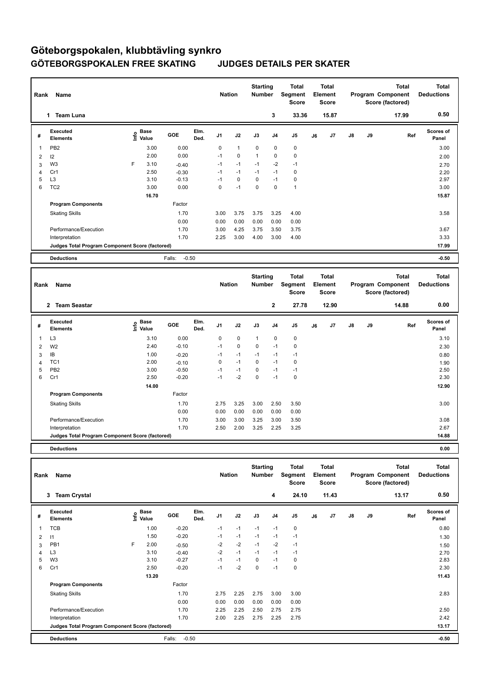## **Göteborgspokalen, klubbtävling synkro GÖTEBORGSPOKALEN FREE SKATING JUDGES DETAILS PER SKATER**

| Rank           | Name<br><b>Team Luna</b><br>$\mathbf{1}$        |   |                                  |                   |              | <b>Nation</b>  |              | <b>Starting</b><br><b>Number</b> | 3              | <b>Total</b><br>Segment<br><b>Score</b><br>33.36 |    | <b>Total</b><br>Element<br><b>Score</b><br>15.87 |               |    | <b>Total</b><br>Program Component<br>Score (factored)<br>17.99 | Total<br><b>Deductions</b><br>0.50 |
|----------------|-------------------------------------------------|---|----------------------------------|-------------------|--------------|----------------|--------------|----------------------------------|----------------|--------------------------------------------------|----|--------------------------------------------------|---------------|----|----------------------------------------------------------------|------------------------------------|
| #              | Executed<br><b>Elements</b>                     |   | <b>Base</b><br>e Base<br>⊆ Value | <b>GOE</b>        | Elm.<br>Ded. | J <sub>1</sub> | J2           | J3                               | J <sub>4</sub> | J5                                               | J6 | J7                                               | $\mathsf{J}8$ | J9 | Ref                                                            | Scores of<br>Panel                 |
| 1              | PB <sub>2</sub>                                 |   | 3.00                             | 0.00              |              | 0              | $\mathbf{1}$ | $\mathbf 0$                      | $\mathbf 0$    | 0                                                |    |                                                  |               |    |                                                                | 3.00                               |
| $\overline{2}$ | 12                                              |   | 2.00                             | 0.00              |              | $-1$           | $\mathbf 0$  | $\mathbf{1}$                     | 0              | 0                                                |    |                                                  |               |    |                                                                | 2.00                               |
| 3              | W <sub>3</sub>                                  | F | 3.10                             | $-0.40$           |              | $-1$           | $-1$         | $-1$                             | $-2$           | $-1$                                             |    |                                                  |               |    |                                                                | 2.70                               |
| $\overline{4}$ | Cr1                                             |   | 2.50                             | $-0.30$           |              | $-1$           | $-1$         | $-1$                             | $-1$           | 0                                                |    |                                                  |               |    |                                                                | 2.20                               |
| 5              | L <sub>3</sub>                                  |   | 3.10                             | $-0.13$           |              | $-1$           | $\mathbf 0$  | $\mathbf 0$                      | $-1$           | $\pmb{0}$                                        |    |                                                  |               |    |                                                                | 2.97                               |
| 6              | TC <sub>2</sub>                                 |   | 3.00                             | 0.00              |              | 0              | $-1$         | 0                                | $\mathbf 0$    | $\mathbf{1}$                                     |    |                                                  |               |    |                                                                | 3.00                               |
|                |                                                 |   | 16.70                            |                   |              |                |              |                                  |                |                                                  |    |                                                  |               |    |                                                                | 15.87                              |
|                | <b>Program Components</b>                       |   |                                  | Factor            |              |                |              |                                  |                |                                                  |    |                                                  |               |    |                                                                |                                    |
|                | <b>Skating Skills</b>                           |   |                                  | 1.70              |              | 3.00           | 3.75         | 3.75                             | 3.25           | 4.00                                             |    |                                                  |               |    |                                                                | 3.58                               |
|                |                                                 |   |                                  | 0.00              |              | 0.00           | 0.00         | 0.00                             | 0.00           | 0.00                                             |    |                                                  |               |    |                                                                |                                    |
|                | Performance/Execution                           |   |                                  | 1.70              |              | 3.00           | 4.25         | 3.75                             | 3.50           | 3.75                                             |    |                                                  |               |    |                                                                | 3.67                               |
|                | Interpretation                                  |   |                                  | 1.70              |              | 2.25           | 3.00         | 4.00                             | 3.00           | 4.00                                             |    |                                                  |               |    |                                                                | 3.33                               |
|                | Judges Total Program Component Score (factored) |   |                                  |                   |              |                |              |                                  |                |                                                  |    |                                                  |               |    |                                                                | 17.99                              |
|                | <b>Deductions</b>                               |   |                                  | $-0.50$<br>Falls: |              |                |              |                                  |                |                                                  |    |                                                  |               |    |                                                                | $-0.50$                            |
|                |                                                 |   |                                  |                   |              |                |              |                                  |                |                                                  |    |                                                  |               |    |                                                                |                                    |

|   | Name<br>Rank                                    |                            |            |              |                | <b>Nation</b> |              | <b>Starting</b><br><b>Number</b> | Total<br>Segment<br><b>Score</b> | <b>Total</b><br>Element<br><b>Score</b> |       | Program Component |    | <b>Total</b><br>Score (factored) | <b>Total</b><br><b>Deductions</b> |  |
|---|-------------------------------------------------|----------------------------|------------|--------------|----------------|---------------|--------------|----------------------------------|----------------------------------|-----------------------------------------|-------|-------------------|----|----------------------------------|-----------------------------------|--|
|   | <b>Team Seastar</b><br>$\mathbf{2}$             |                            |            |              |                |               |              | $\mathbf{2}$                     | 27.78                            |                                         | 12.90 |                   |    | 14.88                            | 0.00                              |  |
| # | Executed<br><b>Elements</b>                     | <b>Base</b><br>۴o<br>Value | <b>GOE</b> | Elm.<br>Ded. | J <sub>1</sub> | J2            | J3           | J <sub>4</sub>                   | J <sub>5</sub>                   | J6                                      | J7    | $\mathsf{J}8$     | J9 | Ref                              | <b>Scores of</b><br>Panel         |  |
| 1 | L <sub>3</sub>                                  | 3.10                       | 0.00       |              | 0              | $\mathbf 0$   | $\mathbf{1}$ | 0                                | 0                                |                                         |       |                   |    |                                  | 3.10                              |  |
| 2 | W <sub>2</sub>                                  | 2.40                       | $-0.10$    |              | $-1$           | $\mathbf 0$   | $\mathbf 0$  | $-1$                             | $\mathbf 0$                      |                                         |       |                   |    |                                  | 2.30                              |  |
| 3 | IB                                              | 1.00                       | $-0.20$    |              | $-1$           | $-1$          | $-1$         | $-1$                             | $-1$                             |                                         |       |                   |    |                                  | 0.80                              |  |
| 4 | TC <sub>1</sub>                                 | 2.00                       | $-0.10$    |              | 0              | $-1$          | 0            | $-1$                             | 0                                |                                         |       |                   |    |                                  | 1.90                              |  |
| 5 | PB <sub>2</sub>                                 | 3.00                       | $-0.50$    |              | $-1$           | $-1$          | 0            | $-1$                             | $-1$                             |                                         |       |                   |    |                                  | 2.50                              |  |
| 6 | Cr1                                             | 2.50                       | $-0.20$    |              | $-1$           | $-2$          | 0            | $-1$                             | $\mathbf 0$                      |                                         |       |                   |    |                                  | 2.30                              |  |
|   |                                                 | 14.00                      |            |              |                |               |              |                                  |                                  |                                         |       |                   |    |                                  | 12.90                             |  |
|   | <b>Program Components</b>                       |                            | Factor     |              |                |               |              |                                  |                                  |                                         |       |                   |    |                                  |                                   |  |
|   | <b>Skating Skills</b>                           |                            | 1.70       |              | 2.75           | 3.25          | 3.00         | 2.50                             | 3.50                             |                                         |       |                   |    |                                  | 3.00                              |  |
|   |                                                 |                            | 0.00       |              | 0.00           | 0.00          | 0.00         | 0.00                             | 0.00                             |                                         |       |                   |    |                                  |                                   |  |
|   | Performance/Execution                           |                            | 1.70       |              | 3.00           | 3.00          | 3.25         | 3.00                             | 3.50                             |                                         |       |                   |    |                                  | 3.08                              |  |
|   | Interpretation                                  |                            | 1.70       |              | 2.50           | 2.00          | 3.25         | 2.25                             | 3.25                             |                                         |       |                   |    |                                  | 2.67                              |  |
|   | Judges Total Program Component Score (factored) |                            |            |              |                |               |              |                                  |                                  |                                         |       |                   |    |                                  | 14.88                             |  |
|   | <b>Deductions</b>                               |                            |            |              |                |               |              |                                  |                                  |                                         |       |                   |    |                                  | 0.00                              |  |

| Name<br>Rank   |                                                 |      |                      |                   |              |                | <b>Nation</b> |      | <b>Starting</b><br><b>Number</b> | Total<br>Segment<br><b>Score</b> | <b>Total</b><br>Element<br><b>Score</b> |       |    |    | <b>Total</b><br>Program Component<br>Score (factored) | Total<br><b>Deductions</b> |
|----------------|-------------------------------------------------|------|----------------------|-------------------|--------------|----------------|---------------|------|----------------------------------|----------------------------------|-----------------------------------------|-------|----|----|-------------------------------------------------------|----------------------------|
|                | <b>Team Crystal</b><br>3                        |      |                      |                   |              |                |               |      | 4                                | 24.10                            |                                         | 11.43 |    |    | 13.17                                                 | 0.50                       |
| #              | Executed<br><b>Elements</b>                     | lnfo | <b>Base</b><br>Value | GOE               | Elm.<br>Ded. | J <sub>1</sub> | J2            | J3   | J <sub>4</sub>                   | J <sub>5</sub>                   | J6                                      | J7    | J8 | J9 | Ref                                                   | <b>Scores of</b><br>Panel  |
| $\overline{1}$ | <b>TCB</b>                                      |      | 1.00                 | $-0.20$           |              | $-1$           | $-1$          | $-1$ | $-1$                             | $\pmb{0}$                        |                                         |       |    |    |                                                       | 0.80                       |
| $\overline{2}$ | $\vert$ 1                                       |      | 1.50                 | $-0.20$           |              | $-1$           | $-1$          | $-1$ | $-1$                             | $-1$                             |                                         |       |    |    |                                                       | 1.30                       |
| 3              | PB1                                             | F    | 2.00                 | $-0.50$           |              | $-2$           | $-2$          | $-1$ | $-2$                             | $-1$                             |                                         |       |    |    |                                                       | 1.50                       |
| $\overline{4}$ | L <sub>3</sub>                                  |      | 3.10                 | $-0.40$           |              | $-2$           | $-1$          | $-1$ | $-1$                             | $-1$                             |                                         |       |    |    |                                                       | 2.70                       |
| 5              | W <sub>3</sub>                                  |      | 3.10                 | $-0.27$           |              | $-1$           | $-1$          | 0    | $-1$                             | 0                                |                                         |       |    |    |                                                       | 2.83                       |
| 6              | Cr1                                             |      | 2.50                 | $-0.20$           |              | $-1$           | $-2$          | 0    | $-1$                             | 0                                |                                         |       |    |    |                                                       | 2.30                       |
|                |                                                 |      | 13.20                |                   |              |                |               |      |                                  |                                  |                                         |       |    |    |                                                       | 11.43                      |
|                | <b>Program Components</b>                       |      |                      | Factor            |              |                |               |      |                                  |                                  |                                         |       |    |    |                                                       |                            |
|                | <b>Skating Skills</b>                           |      |                      | 1.70              |              | 2.75           | 2.25          | 2.75 | 3.00                             | 3.00                             |                                         |       |    |    |                                                       | 2.83                       |
|                |                                                 |      |                      | 0.00              |              | 0.00           | 0.00          | 0.00 | 0.00                             | 0.00                             |                                         |       |    |    |                                                       |                            |
|                | Performance/Execution                           |      |                      | 1.70              |              | 2.25           | 2.25          | 2.50 | 2.75                             | 2.75                             |                                         |       |    |    |                                                       | 2.50                       |
|                | Interpretation                                  |      |                      | 1.70              |              | 2.00           | 2.25          | 2.75 | 2.25                             | 2.75                             |                                         |       |    |    |                                                       | 2.42                       |
|                | Judges Total Program Component Score (factored) |      |                      |                   |              |                |               |      |                                  |                                  |                                         |       |    |    |                                                       | 13.17                      |
|                | <b>Deductions</b>                               |      |                      | $-0.50$<br>Falls: |              |                |               |      |                                  |                                  |                                         |       |    |    |                                                       | $-0.50$                    |